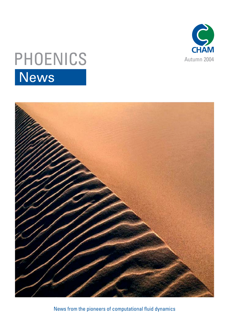

# PHOENICS News



News from the pioneers of computational fluid dynamics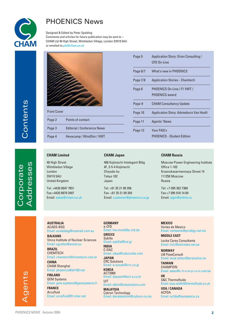

## PHOENICS News

Designed & Edited by Peter Spalding Comments and articles for future publication may be sent to :- CHAM Ltd 40 High Street, Wimbledon Village, London SW19 5AU or emailed to:*pls@cham.co.uk*



| <b>Front Cover</b> |                                    |
|--------------------|------------------------------------|
| Page 2             | Points of contact                  |
| Page 3             | <b>Editorial / Conference News</b> |
| Page 4             | Hevacomp / WindSim / VWT           |

| Page 5   | Application Story: Orion Consulting /<br>CFD On-Line |
|----------|------------------------------------------------------|
| Page 6/7 | What's new in PHOENICS                               |
| Page 7/8 | <b>Application Stories - Chemtech</b>                |
| Page 8   | PHOENICS On-Line / F1 VWT /<br>PHOFNICS award        |
| Page-9   | <b>CHAM Consultancy Update</b>                       |
| Page 10  | <b>Application Story: Adviesburo Van Hooft</b>       |
| Page 11  | <b>Agents' News</b>                                  |
| Page 12  | Your FAO's<br><b>PHOENICS - Student Edition</b>      |

#### **CHAM Limited**

40 High Street Wimbledon Village London SW19 5AU United Kingdom

Tel: +4420 8947 7651 Fax:+4420 8879 3497 Email: sales@cham.co.uk

#### **CHAM Japan**

406 Kojimachi Intelegent Bldg 4F, 3-5-4 Kojimachi Chiyoda-ku Tokyo 102 Japan

Tel: +81 35 21 09 356 Fax: +81 35 21 09 359 Email: customer@phoenics.co.jp

#### **CHAM Russia**

Moscow Power Engineering Institute Office 1-102 Krasnokasarmennaya Street 14 111250 Moscow Russia

Tel: +7 095 362 7360 Fax:+7 095 918 14 69 Email: algin@online.ru

**AUSTRALIA** ACADS-BSG

Email: acadsbsg@ozemail.com.au **BALKANS** Vinca Institute of Nuclear Sciences Email: xgrafon@eunet.yu

**BRAZIL CHEMTECH** Email: chemtech@chemtech.com.br **CHINA** CHAM Shanghai

Email: phoenics@sh163.net **FINLAND** GEM Systems

Email: gem.systems@gemsystems.fi **FRANCE Arcofluid** Email: arcofluid@fr.inter.net

**GERMANY** a-CFD Email: hw.mindt@a-cfd.de **GREECE** Sybilla Email: sybilla@hol.gr **INDIA** C-DAC Email: vikas@cdacindia.com **JAPAN** CRC Solutions Email: a-suzuki@crc.co.jp **KOREA** ACT2000 Email: dsyeom@act-e.co.kr UIT Email: stkim@uitsolutions.com **MALAYSIA**

Cybron Technology Email: danalakshmi@cybron.co.my **MEXICO** Vortex de Mexico Email: vortexmx@prodigy.net.mx

**MIDDLE EAST** Locke Carey Consultants Email: lcfc@emirates.net.ae

**NORWAY** LM FlowConsult Email: terje.toften@larsmyhre.no

**TAIWAN CHAMPION** Email: sales@c-h-a-m-p-i-o-n.com.tw

**UK** S&C Thermofluids Email: tony.smith@thermofluids.co.uk

**USA / CANADA** ACFDA Email: acfda@sympatico.ca

Corporate

proprate

Contents

Addresses

ddresses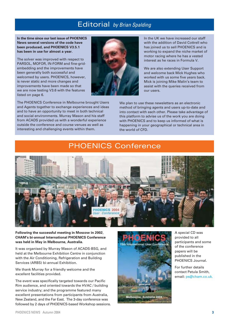### Editorial *by Brian Spalding*

**In the time since our last issue of PHOENICS News several versions of the code have been produced, and PHOENICS V3.5.1 has been in use for almost a year.**

The solver was improved with respect to PARSOL, MOFOR, IN-FORM and fine-gridembedding and the improvements have been generally both successful and welcomed by users. PHOENICS, however, is never static and more changes and improvements have been made so that we are now testing V3.6 with the features listed on page 6.

The PHOENICS Conference in Melbourne brought Users and Agents together to exchange experiences and ideas and to have an opportunity to meet in both technical and social environments. Murray Mason and his staff from ACADS provided us with a wonderful experience outside the conference and course venues as well as interesting and challenging events within them.



In the UK we have increased our staff with the addition of David Cottrell who has joined us to sell PHOENICS and is working to expand the niche market of motor racing where he has a vested interest as he races in Formula V.

We are also extending User Support and welcome back Mick Hughes who worked with us some five years back. Mick is joining Mike Malin's team to assist with the queries received from our users.

We plan to use these newsletters as an electronic method of bringing agents and users up-to-date and into contact with each other. Please take advantage of this platform to advise us of the work you are doing with PHOENICS and to keep us informed of what is happening in your geographical or technical area in the world of CFD.

### PHOENICS Conference



**Following the successful meeting in Moscow in 2002**, **CHAM's bi-annual International PHOENICS Conference was held in May in Melbourne, Australia.**

It was organised by Murray Mason of ACADS-BSG, and held at the Melbourne Exhibition Centre in conjunction with the Air Conditioning, Refrigeration and Building Services (ARBS) bi-annual Exhibition.

We thank Murray for a friendly welcome and the excellent facilities provided.

The event was specifically targeted towards our Pacific Rim audience, and oriented towards the HVAC / building service industry; and the programme featured many excellent presentations from participants from Australia, New Zealand, and the Far East. The 3-day conference was followed by 2 days of PHOENICS-based Workshop sessions.



A special CD was provided to all participants and some of the conference papers will be published in the PHOENICS Journal.

For further details contact Petula Smith, email: ps@cham.co.uk.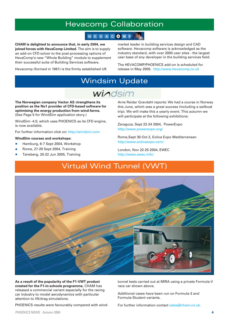### Hevacomp Collaboration

### HEVACOMP

**CHAM is delighted to announce that, in early 2004, we joined forces with HevaComp Limited.** The aim is to supply an add-on CFD solver to the post-processing options of HevaComp's new "Whole Building" module to supplement their successful suite of Building Services software.

Hevacomp (formed in 1981) is the firmly established UK

market leader in building services design and CAD software. Hevacomp software is acknowledged as the industry standard, with over 2000 user sites - the largest user base of any developer in the building services field.

The HEVACOMP/PHOENICS add-on is scheduled for release in May 2005. http://www.hevacomp.co.uk

### Windsim Update

# windsim

**The Norwegian company Vector AS** s**trengthens its position as the No1 provider of CFD-based software for optimising the energy production from wind-farms.** (See Page 5 for WindSim application story.)

WindSim -4.0, which uses PHOENICS as its CFD engine, is now available.

For further information click on: http://windsim.com

#### **WindSim courses and workshops:**

- Hamburg, 6-7 Sept 2004, Workshop
- Rome, 27-29 Sept 2004, Tra[ining](http://windsim.com)
- Tønsberg, 20-22 Jun 2005, Training

Arne Reidar Gravdahl reports: We had a course in Norway this June, which was a great success (including a sailboat trip). We will make this a yearly event. This autumn we will participate at the following exhibitions:

Zaragoza, Sept 22-24 2004, PowerExpo http://www.powerexpo.org/

Rome,Sept 30-Oct 2, Eolica Expo Mediterranean http://www.eolicaexpo.com/

[London, Nov 22-25 2004, EW](http://www.powerexpo.org/)EC http://www.ewec.info/

### Virtual Wind [Tunnel \(VWT](http://www.eolicaexpo.com/))



**As a result of the popularity of the F1-VWT product created for the F1-in-schools programme**, CHAM has released a commercial variant especially for the racing car industry to model aerodynamics with particular attention to lift/drag simulations.

PHOENICS results were favourably compared with wind-

tunnel tests carried out at MIRA using a private Formula-V race car shown above.

Additional cases have been run on Formula-3 and Formula-Student variants.

For further information contact sales@cham.co.uk.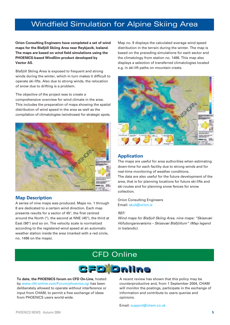### Windfield Simulation for Alpine Skiing Area

**Orion Consulting Engineers have completed a set of wind maps for the Blafjöll Skiing Area near Reykjavik, Iceland. The maps are based on wind field simulations using the PHOENICS-based WindSim product developed by Vector AS.**

Blafjöll Skiing Area is exposed to frequent and strong winds during the winter, which in turn makes it difficult to operate ski lifts. Also due to strong winds, the relocation of snow due to drifting is a problem.

The objective of the project was to create a comprehensive overview for wind climate in the area. This includes the preparation of maps showing the spatial distribution of wind speed in the area as well as the compilation of climatologies (windroses) for strategic spots.



#### **Map Description**

A series of nine maps was produced. Maps no. 1 through 8 are dedicated to a certain wind direction. Each map presents results for a sector of 45°, the first centred around the North (°), the second at NNE (45°), the third at East (90°) and so on. The velocity scale is normalized according to the registered wind speed at an automatic weather station inside the area (marked with a red circle, no. 1486 on the maps).

Map no. 9 displays the calculated average wind speed distribution in the terrain during the winter. The map is based on the preceding simulations for each sector and the climatology from station no. 1486. This map also displays a selection of transferred climatologies located e.g. in ski-lift paths on mountain crests.



#### **Application**

The maps are useful for area authorities when estimating down-time for each facility due to strong winds and for real-time monitoring of weather conditions. The data are also useful for the future development of the area, that is for planning locations for future ski-lifts and ski-routes and for planning snow fences for snow collection.

Orion Consulting Engineers Email: skuli@orion.is

#### *REF:*

*Wind maps for Blafjoll Skiing Area, nine maps: "Skíasvæi Höfuborgarsvæisins – Skíasvæi Bláfjöllum" (Map legend in Icelandic).* 





**To date, the PHOENICS forum on CFD On-Line**, hosted by www.cfd-online.com/Forum/phoenics.cgi has been deliberately allowed to operate without interference or input from CHAM, to permit a free exchange of ideas from PHOENICS users world-wide.

A recent review has shown that this policy may be counterproductive and, from 1 September 2004, CHAM will monitor the postings, participate in the exchange of information and contribute to users queries and opinions.

Email: support@cham.co.uk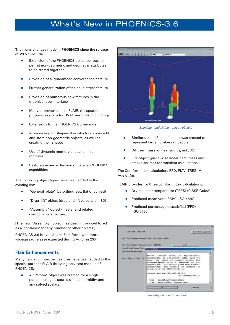### What's New in PHOENICS-3.6

**The many changes made in PHOENICS since the release of V3.5.1 include:**

- Extension of the PHOENICS object concept to permit non-geometric and geometric attributes to be stored together
- Provision of a 'quaranteed convergence' feature
- Further generalization of the solid-stress feature
- Provision of numerous new features in the graphical user interface
- Many improvements to FLAIR, the specialpurpose program for HVAC and fires in buildings
- Extensions to the PHOENICS Commander
- A re-working of Shapemaker which can now add and store non-geometric objects, as well as creating their shapes
- Use of dynamic memory allocation in all modules
- Restoration and extension of parallel-PHOENICS capabilities.

The following object types have been added to the existing list:

- "General\_plate" (zero thickness, flat or curved)
- "Drag\_lift" object (drag and lift calculation, 3D)
- "Assembly" object (master and related components structure)

[The new "Assembly" object has been introduced to act as a 'container' for any number of other objects.]

PHOENICS-3.6 is available in Beta form, with more widespread release expected during Autumn 2004.

#### **Flair Enhancements**

Many new and improved features have been added to the special-purpose FLAIR (building services) module of PHOENICS:

A "Person" object was created for a single person acting as source of heat, humidity and any solved scalars.



*Standing - and sitting - person objects*

- Similarly, the "People" object was created to represent large numbers of people.
- Diffuser (mass an heat source/sink, 3D)
- Fire object (piece-wise linear heat, mass and smoke sources for transient calculations)

The Comfort-index calculation: PPD, PMV, TRES, Mean Age of Air.

FLAIR provides for three comfort index calculations:

- Dry resultant temperature (TRES) (CIBSE Guide)
- Predicted mean vote (PMV) (ISO 7730)
- Predicted percentage dissatisfied (PPD) (ISO 7730)

| Comfort infines                                    |                                                                                                                                                                                                                                                                                                                                      | Pewe Louis passell.               |
|----------------------------------------------------|--------------------------------------------------------------------------------------------------------------------------------------------------------------------------------------------------------------------------------------------------------------------------------------------------------------------------------------|-----------------------------------|
| the following quantities are available:            |                                                                                                                                                                                                                                                                                                                                      |                                   |
| Dry Brentland Trageration (TODE)                   |                                                                                                                                                                                                                                                                                                                                      | <b>GEE</b>                        |
| Prodicted death tots commit topics                 |                                                                                                                                                                                                                                                                                                                                      | е                                 |
| <b>Drudletted Formers I</b><br>Mean Age of Air IM. | Thermal comfort index, or dry resultant<br>temporature, is a standard index used to<br>show the level of confort within the<br>cooxpied space. It is a function of air<br>temperature, air velocity and mean radiant<br>humperwistm. The formula as defined in<br>Volume & of the CIBSE Galde to:<br>tres-itrad-tair+(10*val)**0.5)/ |                                   |
|                                                    | tres - resultant temporature<br>trad - mean radient tumperature<br><b>THE</b>                                                                                                                                                                                                                                                        | (1+(184yu1) 440.5)<br>티<br>CARONE |

*Help entry on comfort indices*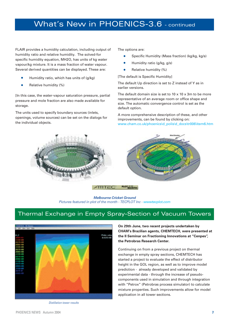### What's New in PHOENICS-3.6 - continued

FLAIR provides a humidity calculation, including output of humidity ratio and relative humidity. The solved-for specific humidity equation, MH2O, has units of kg water vapour/kg mixture. It is a mass fraction of water vapour. Several derived quantities can be displayed. These are:

- Humidity ratio, which has units of (g/kg)
- Relative humidity (%)

[In this case, the water-vapour saturation pressure, partial pressure and mole fraction are also made available for storage.

The units used to specify boundary sources (inlets, openings, volume sources) can be set on the dialogs for the individual objects.

The options are:

- Specific Humidity (Mass fraction) (kg/kg, kg/s)
- Humidity ratio (g/kg, g/s)
- Relative humidity (%)

[The default is Specific Humidity]

The default Up direction is set to Z instead of Y as in earlier versions.

The default domain size is set to  $10 \times 10 \times 3$ m to be more representative of an average room or office shape and size. The automatic convergence control is set as the default option.

A more comprehensive description of these, and other improvements, can be found by clicking on: www.cham.co.uk/phoenics\d\_polis\d\_docs\tr006\item6.htm



*Melbourne Cricket Ground Pictures featured in plot of the month - TECPLOT Inc - wwwtecplot.com*

### Thermal Exchange in Empty Spray-Section of Vacuum Towers



*Distillation tower results*

**On 29th June, two recent projects undertaken by CHAM's Brazilian agents, CHEMTECH, were presented at the II Seminar on Fractioning Innovations at "Cenpes", the Petrobras Research Center.**

Continuing on from a previous project on thermal exchange in empty spray sections, CHEMTECH has started a project to evaluate the effect of distributor height in the GOL region, as well as to improve model prediction - already developed and validated by experimental data - through the increase of pseudocomponents used in simulation and through integration with "Petrox" (Petrobras process simulator) to calculate mixture properties. Such improvements allow for model application in all tower sections.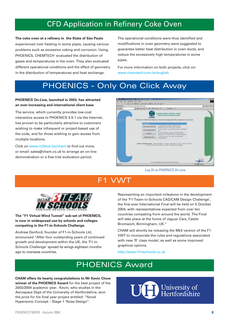### CFD Application in Refinery Coke Oven

**The coke oven at a refinery in the State of São Paulo** experienced over heating in some pipes, causing various problems such as excessive coking and corrosion. Using PHOENICS, CHEMTECH evaluated the distribution of gases and temperatures in the oven. They also evaluated different operational conditions and the effect of geometry in the distribution of temperatures and heat exchange.

The operational conditions were thus identified and modifications in oven geometry were suggested to guarantee better heat distribution in oven ducts, and reduce the excessively high temperatures in some pipes.

For more information on both projects, click on: www.chemtech.com.br/english

# PHOENICS - Only One Click Away

#### **PHOENICS On-Line, launched in 2003, has attracted an ever-increasing and international client base.**

The service, which currently provides low-cost interactive access to PHOENICS-3.5.1 via the Internet, has proven to be particularly attractive to customers wishing to make infrequent or project-based use of the code, and for those wishing to gain access from multiple locations.

Click on www.in2itive.biz/cham to find out more, or email: sales@cham.co.uk to arrange an on-line demonstration or a free trial evaluation period.



*Log On to PHOENICS On-Line*

# F1 VWT



**The "F1 Virtual Wind Tunnel" sub-set of PHOENICS, is now in widespread use by schools and colleges competing in the F1-in-Schools Challenge.**

Andrew Denford, founder of F1-in-Schools Ltd, announced "After four outstanding years of continued growth and development within the UK, the 'F1-in-Schools Challenge' spread its wings eighteen months ago to overseas countries.

Representing an important milestone in the development of the 'F1-Team-in-Schools CAD/CAM Design Challenge', the first ever International Final will be held on 5 October 2004, with representatives expected from over ten countries competing from around the world. The Final will take place at the home of Jaguar Cars, Castle Bromwich, Birmingham, UK."

CHAM will shortly be releasing the Mk3 version of the F1 VWT to incorporate the rules and regulations associated with new 'R' class model, as well as some improved graphical options.

http://www.f1inschools.co.uk

## PHOENICS Award

**CHAM offers its hearty congratulations to Mr Kevin Chow winner of the PHOENICS Award** for the best project of the 2003/2004 academic year. Kevin, who studies in the Aerospace Dept of the University of Hertfordshire, won the prize for his final year project entitled: "Novel Hypersonic Concept – Stage 1 'Nose Design".

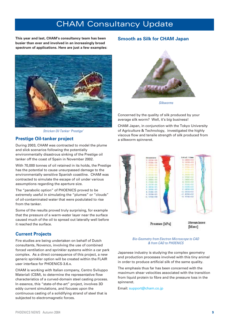### CHAM Consultancy Update

**This year and last, CHAM's consultancy team has been busier than ever and involved in an increasingly broad spectrum of applications. Here are just a few examples:**



*Stricken Oil Tanker 'Prestige'*

#### **Prestige Oil-tanker project**

During 2003, CHAM was contracted to model the plume and slick scenarios following the potentially environmentally disastrous sinking of the Prestige oil tanker off the coast of Spain in November 2002.

With 70,000 tonnes of oil retained in its holds, the Prestige has the potential to cause unsurpassed damage to the environmentally sensitive Spanish coastline. CHAM was contracted to simulate the escape of oil under various assumptions regarding the aperture size.

The "parabolic option" of PHOENICS proved to be extremely useful in simulating the "plumes" or "clouds" of oil-contaminated water that were postulated to rise from the tanker.

Some of the results proved truly surprising, for example that the pressure of a warm-water layer near the surface caused much of the oil to spread out laterally well before it reached the surface.

#### **Current Projects**

Fire studies are being undertaken on behalf of Dutch consultants, Novenco, involving the use of combined forced ventilation and sprinkler systems within a car park complex. As a direct consequence of this project, a new generic sprinkler option will be created within the FLAIR user interface for PHOENICS-3.6.x.

CHAM is working with Italian company, Centro Sviluppo Materiali (CSM), to determine the representative flow characteristics of a curved-domain steel casting process. In essence, this "state-of-the-art" project, involves 3D eddy current simulations, and focuses upon the continuous casting of a solidifying strand of steel that is subjected to electromagnetic forces.

#### **Smooth as Silk for CHAM Japan**



*Silkworms*

Concerned by the quality of silk produced by your average silk worm? Well, it's big business!

CHAM Japan, in conjunction with the Tokyo University of Agriculture & Technology, investigated the highly viscous flow and tensile strength of silk produced from a silkworm spinneret.



*Bio-Geometry from Electron Microscope to CAD & from CAD to PHOENICS*

Japanese industry is studying the complex geometry and production processes involved with this tiny animal in order to produce artificial silk of the same quality.

The emphasis thus far has been concerned with the maximum shear velocities associated with the transition from liquid protein to fibre and the pressure loss in the spinneret.

Email: support@cham.co.jp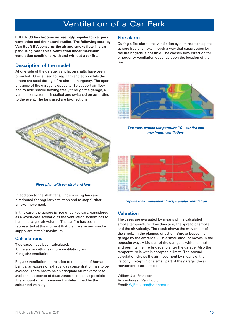## Ventilation of a Car Park

**PHOENICS has become increasingly popular for car park ventilation and fire hazard studies. The following case, by Van Hooft BV, concerns the air and smoke flow in a car park using mechanical ventilation under maximum ventilation conditions, with and without a car fire.**

### **Description of the model**

At one side of the garage, ventilation shafts have been provided. One is used for regular ventilation while the others are used during a fire-alarm emergency. The open entrance of the garage is opposite. To support air-flow and to hold smoke flowing freely through the garage, a ventilation system is installed and switched on according to the event. The fans used are bi-directional.



*Floor plan with car (fire) and fans*

In addition to the shaft fans, under-ceiling fans are distributed for regular ventilation and to stop further smoke-movement.

In this case, the garage is free of parked cars, considered as a worst-case scenario as the ventilation system has to handle a larger air volume. The car fire has been represented at the moment that the fire size and smoke supply are at their maximum.

### **Calculations**

Two cases have been calculated: 1) fire alarm with maximum ventilation, and 2) regular ventilation.

Regular ventilation - In relation to the health of human beings, an excess of exhaust gas concentration has to be avoided. There has to be an adequate air movement to avoid the existence of dead zones as much as possible. The amount of air movement is determined by the calculated velocity.

### **Fire alarm**

During a fire alarm, the ventilation system has to keep the garage free of smoke in such a way that suppression by the fire brigade is possible. The chosen flow direction for emergency ventilation depends upon the location of the fire.



*Top-view smoke temperature (°C) -car fire and maximum ventilation-*

![](_page_9_Picture_15.jpeg)

#### *Top-view air movement (m/s) -regular ventilation*

#### **Valuation**

The cases are evaluated by means of the calculated smoke temperature, flow direction, the spread of smoke and the air velocity. The result shows the movement of the smoke in the planned direction. Smoke leaves the garage by the entrance. Just a small amount moves in the opposite way. A big part of the garage is without smoke and permits the fire brigade to enter the garage. Also the temperature is within acceptable limits. The second calculation shows the air movement by means of the velocity. Except in one small part of the garage, the air movement is acceptable.

Willem-Jan Franssen Adviesbureau Van Hooft Email: WjFranssen@vanhooft.nl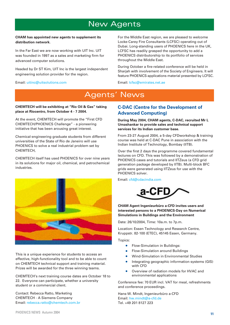### New Agents

#### **CHAM has appointed new agents to supplement its distribution network.**

In the Far East we are now working with UIT Inc. UIT was founded in 1997 as a sales and marketing firm for advanced computer solutions.

Headed by Dr ST Kim, UIT Inc is the largest independent engineering solution provider for the region.

#### Email: uitinc@uitsolutions.com

For the Middle East region, we are pleased to welcome Locke-Carey Fire Consultants (LCFSC) operating out of Dubai. Long-standing users of PHOENICS here in the UK, LCFSC has readily grasped the opportunity to add a PHOENICS distributorship to its portfolio of services throughout the Middle East.

During October a fire-related conference will be held in Sharjah with involvement of the Society of Engineers. It will feature PHOENICS-applications material presented by LCFSC.

Email: lcfsc@emirates.net.ae

### Agents' News

#### **CHEMTECH will be exhibiting at "Rio Oil & Gas" taking place at Riocentro, from October 4 - 7 2004.**

At the event, CHEMTECH will promote the "First CFD CHEMTECH/PHOENICS Challenge" - a pioneering initiative that has been arousing great interest.

Chemical-engineering graduate students from different universities of the State of Rio de Janeiro will use PHOENICS to solve a real industrial problem set by CHEMTECH,

CHEMTECH itself has used PHOENICS for over nine years in its solutions for major oil, chemical, and petrochemical industries.

![](_page_10_Picture_13.jpeg)

This is a unique experience for students to access an effective, high-functionality tool and to be able to count on CHEMTECH technical support and training material. Prizes will be awarded for the three winning teams.

CHEMTECH's next training course dates are October 18 to 22. Everyone can participate, whether a university student or a commercial client.

Contact: Rebecca Ratto, Marketing CHEMTECH - A Siemens Company Email: rebecca.ratto@chemtech.com.br

### **C-DAC (Centre for the Development of Advanced Computing)**

**During May 2004, CHAM agents, C-DAC, recruited Mr L Umashankar to provide sales and technical support services for its Indian customer base.**

From 23-27 August 2004, a 5-day CFDworkshop & training course was held at C-DAC Pune in association with the Indian Institute of Technology, Bombay (IITB).

Over the first 2 days the programme covered fundamental lectures on CFD. This was followed by a demonstration of PHOENICS cases and tutorials and IITZeus (a CFD grid generation package developed by IITB). Multi-block BFC grids were generated using IITZeus for use with the PHOENICS solver.

Email: cfd@cdacindia.com

![](_page_10_Picture_22.jpeg)

**CHAM Agent Ingenieurbüro a-CFD invites users and interested persons to a PHOENICS-Day on Numerical Simulations in Buildings and the Environment**

Date: 26/10/2004, Time: 10a.m. to 7p.m.

Location: Essen Technology and Research Centre, Kruppstr. 82-100 (ETEC), 45145 Essen, Germany.

Topics:

- Flow-Simulation in Buildings:
- Flow-Simulation around Buildings
- Wind-Simulation in Environmental Studies
- Integrating geographic information systems (GIS) with CFD
- Overview of radiation models for HVAC and environmental applications

Conference fee: 70 EUR incl. VAT for meal, refreshments and conference proceedings.

Hans-W. Mindt, Ingenieurbüro a-CFD Email: hw.mindt@a-cfd.de Tel. +49 201 8127 223